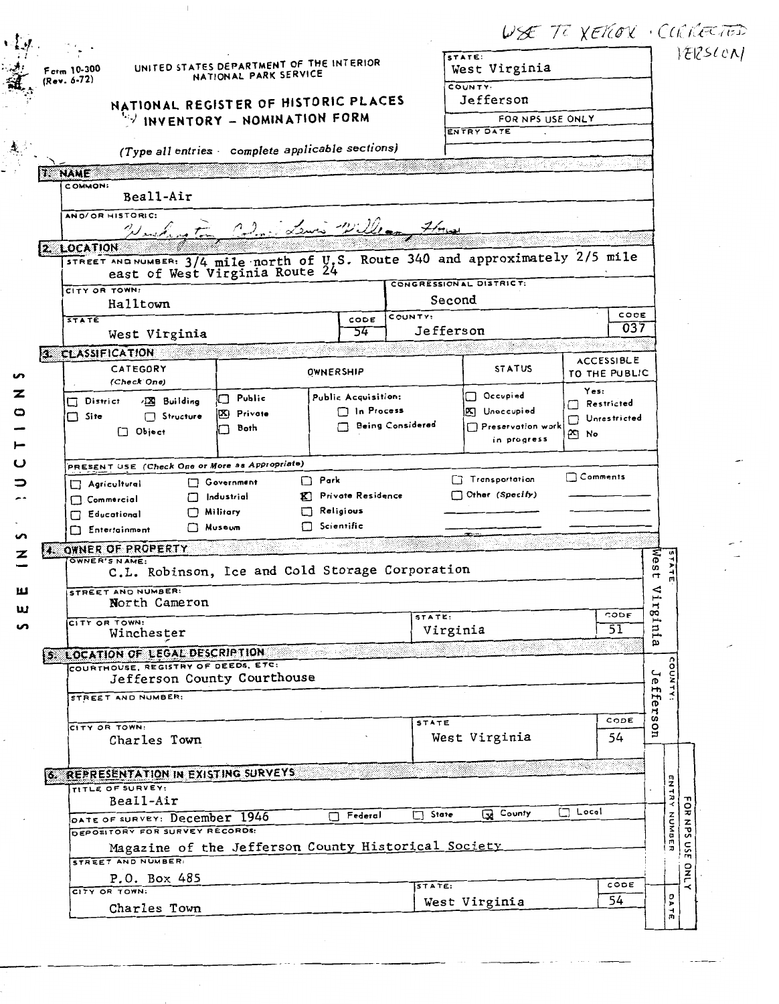|    |                            |                                                                                                                  |                                                                   |                                       |                  | $\nabla\mathcal{L}$ is a $\chi$ $\epsilon$ it $\alpha$ is a contract of the $\chi$ |                       |               |                            |                                    |
|----|----------------------------|------------------------------------------------------------------------------------------------------------------|-------------------------------------------------------------------|---------------------------------------|------------------|------------------------------------------------------------------------------------|-----------------------|---------------|----------------------------|------------------------------------|
|    | Form 10-300<br>(Rev. 6-72) |                                                                                                                  | UNITED STATES DEPARTMENT OF THE INTERIOR<br>NATIONAL PARK SERVICE |                                       |                  | STATE:<br>West Virginia                                                            |                       |               |                            | VERSCON                            |
|    |                            |                                                                                                                  |                                                                   |                                       |                  | COUNTY:<br>Jefferson                                                               |                       |               |                            |                                    |
|    |                            | NATIONAL REGISTER OF HISTORIC PLACES                                                                             | INVENTORY - NOMINATION FORM                                       |                                       |                  | FOR NPS USE ONLY                                                                   |                       |               |                            |                                    |
|    |                            |                                                                                                                  |                                                                   |                                       |                  | ENTRY DATE                                                                         |                       |               |                            |                                    |
|    |                            |                                                                                                                  | (Type all entries complete applicable sections)                   |                                       |                  |                                                                                    |                       |               |                            |                                    |
|    | <b>1. NAME</b>             |                                                                                                                  |                                                                   |                                       |                  |                                                                                    | 1940-1945 (S          |               |                            |                                    |
|    | COMMON:                    |                                                                                                                  |                                                                   |                                       |                  |                                                                                    |                       |               |                            |                                    |
|    |                            | Beall-Air                                                                                                        |                                                                   |                                       |                  |                                                                                    |                       |               |                            |                                    |
|    |                            | AND/OR HISTORIC:                                                                                                 | Neichnoten Coloris Lewis William 7/100                            |                                       |                  |                                                                                    |                       |               |                            |                                    |
|    | 2. LOCATION                |                                                                                                                  |                                                                   |                                       |                  |                                                                                    |                       |               |                            |                                    |
|    |                            | STREET AND NUMBER: 3/4 mile north of U.S. Route 340 and approximately 2/5 mile<br>east of West Virginia Route 24 |                                                                   |                                       |                  | CONGRESSIONAL DISTRICT:                                                            |                       |               |                            |                                    |
|    | CITY OR TOWN:              |                                                                                                                  |                                                                   |                                       | Second           |                                                                                    |                       |               |                            |                                    |
|    | <b>STATE</b>               | Halltown                                                                                                         |                                                                   | CODE                                  | COUNTY:          |                                                                                    |                       | CODE          |                            |                                    |
|    |                            | West Virginia                                                                                                    |                                                                   | 54                                    | Jefferson        |                                                                                    |                       | 037           |                            |                                    |
| ×. |                            | <b>CLASSIFICATION</b>                                                                                            |                                                                   |                                       |                  | 30. X                                                                              |                       |               |                            |                                    |
|    |                            | CATEGORY                                                                                                         |                                                                   | OWNERSHIP                             |                  | <b>STATUS</b>                                                                      | ACCESSIBLE            |               |                            |                                    |
| ∽  |                            | (Check One)                                                                                                      |                                                                   |                                       |                  |                                                                                    | TO THE PUBLIC<br>Yes: |               |                            |                                    |
| z  | District                   | <b>XX</b> Building                                                                                               | $\Box$ Public                                                     | Public Acquisition:                   |                  | □ Occupied                                                                         | Restricted            |               |                            |                                    |
| o  | $\Box$ Site                | Structure                                                                                                        | Private<br>IBSI 1                                                 | $\Box$ In Process                     | Being Considered | X Unoccupied<br>$\Box$ Preservation work                                           | Unrestricted          |               |                            |                                    |
|    |                            | $\Box$ Object                                                                                                    | Both                                                              |                                       |                  | in progress                                                                        | <u>න</u> No           |               |                            |                                    |
|    |                            |                                                                                                                  |                                                                   |                                       |                  |                                                                                    |                       |               |                            |                                    |
| ပ  |                            | PRESENT USE (Check One or More as Appropriate)                                                                   |                                                                   |                                       |                  |                                                                                    |                       |               |                            |                                    |
|    |                            | $\Box$ Agricultural                                                                                              | Government                                                        | $\Box$ Park                           |                  | Transportation                                                                     | $\Box$ Comments       |               |                            |                                    |
|    |                            | П<br>$\Box$ Commercial                                                                                           | Industrial                                                        | K Private Residence                   |                  | Other (Specify)                                                                    |                       |               |                            |                                    |
|    |                            | Educational                                                                                                      | Military<br><b>Nuseum</b>                                         | $\Box$ Religious<br>$\Box$ Scientific |                  |                                                                                    |                       |               |                            |                                    |
|    |                            | Entertainment                                                                                                    |                                                                   |                                       |                  | $- - - -$                                                                          |                       |               |                            |                                    |
| z  |                            | 4. OWNER OF PROPERTY<br>OWNER'S NAME:                                                                            |                                                                   |                                       |                  |                                                                                    |                       |               |                            |                                    |
|    |                            | C.L. Robinson, Ice and Cold Storage Corporation                                                                  |                                                                   |                                       |                  |                                                                                    |                       | Wes<br>F      | $\blacktriangleright$<br>긟 |                                    |
| ш  |                            | STREET AND NUMBER:                                                                                               |                                                                   |                                       |                  |                                                                                    |                       |               | ≲                          |                                    |
| ш  |                            | North Cameron                                                                                                    |                                                                   |                                       | STATE:           |                                                                                    | CODE                  | rg            |                            |                                    |
| n  |                            | CITY OR TOWN:<br>Winchester                                                                                      |                                                                   |                                       | Virginia         |                                                                                    | 51                    | ⊶<br>Ħ,       |                            |                                    |
|    |                            |                                                                                                                  |                                                                   | an an                                 |                  |                                                                                    |                       | $\omega$      |                            |                                    |
|    |                            | 5. LOCATION OF LEGAL DESCRIPTION<br>COURTHOUSE, REGISTRY OF DEEDS, ETC:                                          |                                                                   |                                       |                  |                                                                                    |                       |               |                            |                                    |
|    |                            | Jefferson County Courthouse                                                                                      |                                                                   |                                       |                  |                                                                                    |                       |               |                            |                                    |
|    |                            | STREET AND NUMBER:                                                                                               |                                                                   |                                       |                  |                                                                                    |                       |               | <b>OUNTY</b>               |                                    |
|    |                            | CITY OR TOWN:                                                                                                    |                                                                   |                                       | <b>STATE</b>     |                                                                                    | CODE                  | Jeffer<br>CO. |                            |                                    |
|    |                            | Charles Town                                                                                                     |                                                                   |                                       |                  | West Virginia                                                                      | 54                    | g             |                            |                                    |
|    |                            |                                                                                                                  |                                                                   |                                       |                  |                                                                                    |                       |               |                            |                                    |
|    |                            | 6. REPRESENTATION IN EXISTING SURVEYS                                                                            |                                                                   |                                       |                  |                                                                                    |                       |               |                            |                                    |
|    |                            | TITLE OF SURVEY:                                                                                                 |                                                                   |                                       |                  |                                                                                    |                       |               | ENTR                       |                                    |
|    |                            | Beall-Air                                                                                                        |                                                                   | Federal<br>П.                         | State<br>⊓       | County                                                                             | $\Box$ Local          |               | $\prec$                    |                                    |
|    |                            | DATE OF SURVEY: December 1946<br>DEPOSITORY FOR SURVEY RECORDS:                                                  |                                                                   |                                       |                  |                                                                                    |                       |               |                            |                                    |
|    |                            | Magazine of the Jefferson County Historical Society                                                              |                                                                   |                                       |                  |                                                                                    |                       |               | HUMBE                      | FaR<br>NPS<br>$\tilde{\mathbf{c}}$ |
|    |                            | STREET AND NUMBER:                                                                                               |                                                                   |                                       |                  |                                                                                    |                       |               |                            | Ē                                  |
|    |                            | P.O. Box 485                                                                                                     |                                                                   |                                       | STATE:           |                                                                                    |                       | CODE          |                            |                                    |
|    |                            | CITY OR TOWN:<br>Charles Town                                                                                    |                                                                   |                                       |                  | West Virginia                                                                      | 54                    |               | ă<br>급                     | $\frac{1}{2}$                      |

 $\ddot{\phantom{a}}$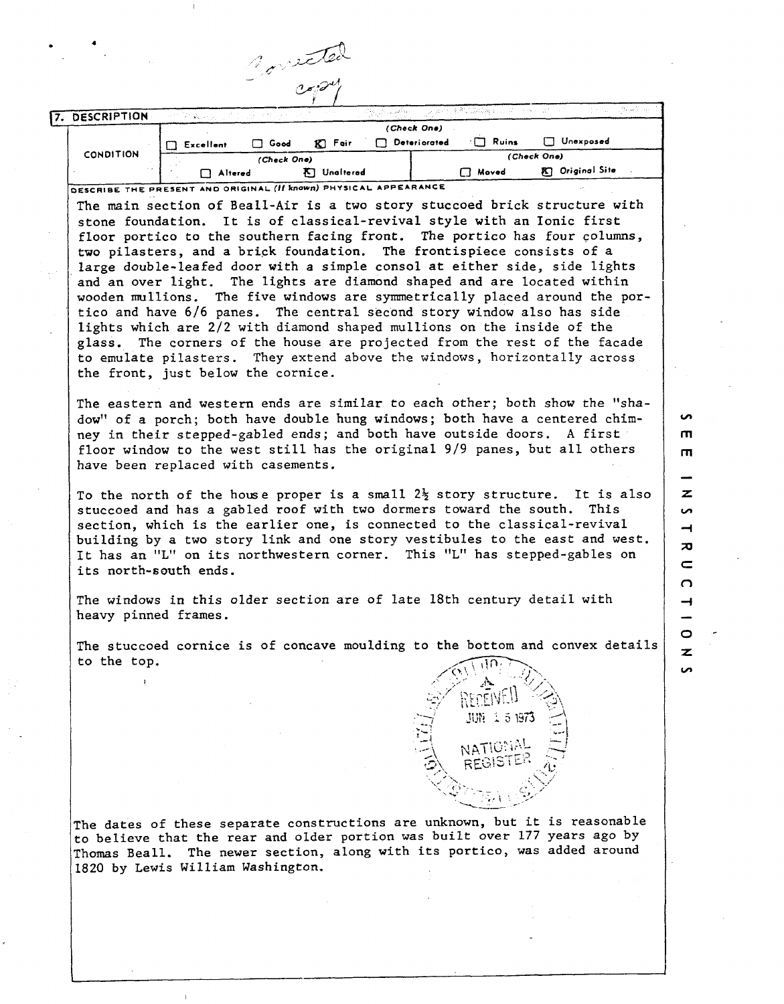|                                                                                                |                                        |             | oneted             |            |              |              |                                                                                                                                                                                                                                                                                                                                       |
|------------------------------------------------------------------------------------------------|----------------------------------------|-------------|--------------------|------------|--------------|--------------|---------------------------------------------------------------------------------------------------------------------------------------------------------------------------------------------------------------------------------------------------------------------------------------------------------------------------------------|
|                                                                                                |                                        |             |                    | iyo mashir |              | n shu Quwa   | ついろ み                                                                                                                                                                                                                                                                                                                                 |
| 7. DESCRIPTION                                                                                 | $\widetilde{\mathbf{y}}(t_1, \cdot)$ : |             |                    |            | (Check One)  |              |                                                                                                                                                                                                                                                                                                                                       |
|                                                                                                | T Excellent                            | $\Box$ Good | $K$ Fair           |            | Deteriorated | $\Box$ Ruins | □ Unexposed                                                                                                                                                                                                                                                                                                                           |
| <b>CONDITION</b>                                                                               |                                        | (Check One) |                    |            |              |              | (Check One)                                                                                                                                                                                                                                                                                                                           |
|                                                                                                | Altered                                |             | <b>K</b> Unaltered |            |              | $\Box$ Moved | <b>R.</b> Original Site                                                                                                                                                                                                                                                                                                               |
| DESCRIBE THE PRESENT AND ORIGINAL (If known) PHYSICAL APPEARANCE                               |                                        |             |                    |            |              |              |                                                                                                                                                                                                                                                                                                                                       |
|                                                                                                |                                        |             |                    |            |              |              | The main section of Beall-Air is a two story stuccoed brick structure with                                                                                                                                                                                                                                                            |
|                                                                                                |                                        |             |                    |            |              |              | stone foundation. It is of classical-revival style with an Ionic first                                                                                                                                                                                                                                                                |
|                                                                                                |                                        |             |                    |            |              |              | floor portico to the southern facing front. The portico has four columns,                                                                                                                                                                                                                                                             |
|                                                                                                |                                        |             |                    |            |              |              | two pilasters, and a brick foundation. The frontispiece consists of a                                                                                                                                                                                                                                                                 |
|                                                                                                |                                        |             |                    |            |              |              | large double-leafed door with a simple consol at either side, side lights                                                                                                                                                                                                                                                             |
|                                                                                                |                                        |             |                    |            |              |              | and an over light. The lights are diamond shaped and are located within                                                                                                                                                                                                                                                               |
| wooden mullions.                                                                               |                                        |             |                    |            |              |              | The five windows are symmetrically placed around the por-                                                                                                                                                                                                                                                                             |
|                                                                                                |                                        |             |                    |            |              |              | tico and have 6/6 panes. The central second story window also has side                                                                                                                                                                                                                                                                |
|                                                                                                |                                        |             |                    |            |              |              | lights which are 2/2 with diamond shaped mullions on the inside of the                                                                                                                                                                                                                                                                |
|                                                                                                |                                        |             |                    |            |              |              | glass. The corners of the house are projected from the rest of the facade                                                                                                                                                                                                                                                             |
|                                                                                                |                                        |             |                    |            |              |              | to emulate pilasters. They extend above the windows, horizontally across                                                                                                                                                                                                                                                              |
| the front, just below the cornice.                                                             |                                        |             |                    |            |              |              |                                                                                                                                                                                                                                                                                                                                       |
| have been replaced with casements.                                                             |                                        |             |                    |            |              |              | The eastern and western ends are similar to each other; both show the "sha-<br>dow" of a porch; both have double hung windows; both have a centered chim-<br>ney in their stepped-gabled ends; and both have outside doors. A first<br>floor window to the west still has the original 9/9 panes, but all others                      |
| stuccoed and has a gabled roof with two dormers toward the south.<br>its north-south ends.     |                                        |             |                    |            |              |              | To the north of the howse proper is a small $2\frac{1}{2}$ story structure. It is also<br>This<br>section, which is the earlier one, is connected to the classical-revival<br>building by a two story link and one story vestibules to the east and west.<br>It has an "L" on its northwestern corner. This "L" has stepped-gables on |
| The windows in this older section are of late 18th century detail with<br>heavy pinned frames. |                                        |             |                    |            |              |              |                                                                                                                                                                                                                                                                                                                                       |
|                                                                                                |                                        |             |                    |            |              |              | The stuccoed cornice is of concave moulding to the bottom and convex details                                                                                                                                                                                                                                                          |
| to the top.                                                                                    |                                        |             |                    |            |              |              |                                                                                                                                                                                                                                                                                                                                       |
|                                                                                                |                                        |             |                    |            |              |              |                                                                                                                                                                                                                                                                                                                                       |
|                                                                                                |                                        |             |                    |            |              |              |                                                                                                                                                                                                                                                                                                                                       |

rhe dates of these separate constructions are unknown, but it is reasonable to believe that the rear and older portion was built over 177 years **ago** by rhomas Beall. The newer section, along with its portico, was added around 1820 by Lewis William Washington.

 $\mathbf{r}$ 

**JUN 1 5 1973** 

NATIONAL<br>REGISTER

 $\overline{z}$ **S**  $\overline{\phantom{0}}$  $\overline{\mathbf{z}}$  $\subset$  $\Omega$ ᅥ  $\circ$ 

ပ  $\mathsf{m}$  $\mathbf{m}$ 

 $\overline{\mathbf{z}}$  $\sim$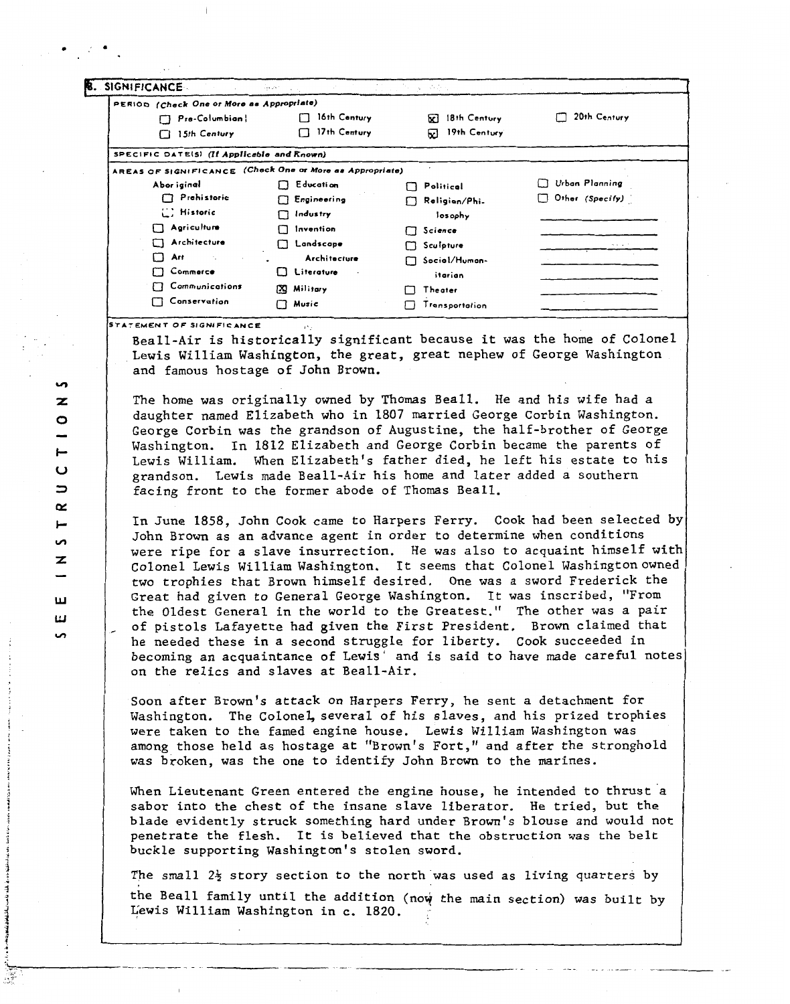| . SIGNIFICANCE                                           | iya za n<br>$\sim$  | 그는 사람들의 작품이다.     |                 |
|----------------------------------------------------------|---------------------|-------------------|-----------------|
| PERIOD (Check One or More as Appropriate)                |                     |                   |                 |
| Pre-Columbian!                                           | 16th Century        | 18th Century<br>⊠ | 20th Century    |
| 15th Century<br>П                                        | $\Box$ 17th Century | 19th Century<br>⊡ |                 |
| SPECIFIC DATE(S) (If Applicable and Known)               |                     |                   |                 |
| AREAS OF SIGNIFICANCE (Check One or More as Appropriate) |                     |                   |                 |
| Abor iginal                                              | $\Box$ Education    | Political<br>ŁТ   | Urban Planning  |
| Prehistoric                                              | $\Box$ Engineering  | Religion/Phi.     | Other (Specify) |
| [] Historic                                              | Indus try<br>П      | losophy           |                 |
| $\Box$ Agriculture                                       | invention           | Science<br>П      |                 |
| Architecture                                             | Landscape<br>П      | $\Box$ Sculpture  | .               |
| Art<br>П                                                 | Architecture        | Social/Human-     |                 |
| Commerce                                                 | Literature<br>U.    | itarian           |                 |
| Communications                                           | [X] Military        | Theater           |                 |
| Conservation                                             | $\Box$ Music        | Transportation    |                 |

**STATEMENT OF SIGNIFICANCE** 

Beall-Air is historically significant because it was the home of colonel Lewis William Washington, the great, great nephew of George Washington and famous hostage of John Brown.

The home was originally owned by Thomas Beall. He and his wife had a daughter named Elizabeth who in 1807 married George Corbin Washington. George Corbin was the grandson of Augustine, the half-brother of George Washington. In 1812 Elizabeth and George Corbin became the parents of Lewis William. When Elizabeth's father died, he left his estate to his grandson. Lewis made Beall-Air his home and later added a southern facing front to the former abode of Thomas Beall.

In June 1858, John Cook came to Harpers Ferry. Cook had been selected by John Brown as an advance agent in order to determine when conditions were ripe for a slave insurrection. He was also to acquaint himself with Colonel Lewis William Washington. It seems that Colonel Washingtonowned two trophies that Brown himself desired. One was a sword Frederick the Great had given to General George Washington. It was inscribed, "From the Oldest General in the world to the Greatest." The other was a pair of pistols Lafayette had given the First President. Brown claimed that he needed these in a second struggle for liberty. Cook succeeded in becoming an acquaintance of Lewis' and is said to have made careful notes on the relics and slaves at Beall-Air.

Soon after Brown's attack on Harpers Ferry, he sent a detachment for Washington. The Colonel, several of his slaves, and his prized trophies were taken to the famed engine house. Lewis William Washington was among those held as hostage at "Brown's Fort," and after the stronghold was broken, was the one to identify John Brown to the marines.

When Lieutenant Green entered the engine house, he intended to thrust a sabor into the chest of the insane slave liberator. He tried, but the blade evidently struck something hard under Brown's blouse and would not penetrate the flesh. It is believed that the obstruction was the belt buckle supporting Washington's stolen sword.

**The** srnall 2% story section to the north.was used as living quarters by the Beall family until the addition (now the main section) was built by  $\frac{1}{2}$  in Washington in c. 1820.

ഗ z  $\circ$  $\qquad \qquad$  $\vdash$  $\mathbf \omega$  $\Rightarrow$  $\alpha$ ⊢ S  $\mathbf{z}$ ш ш S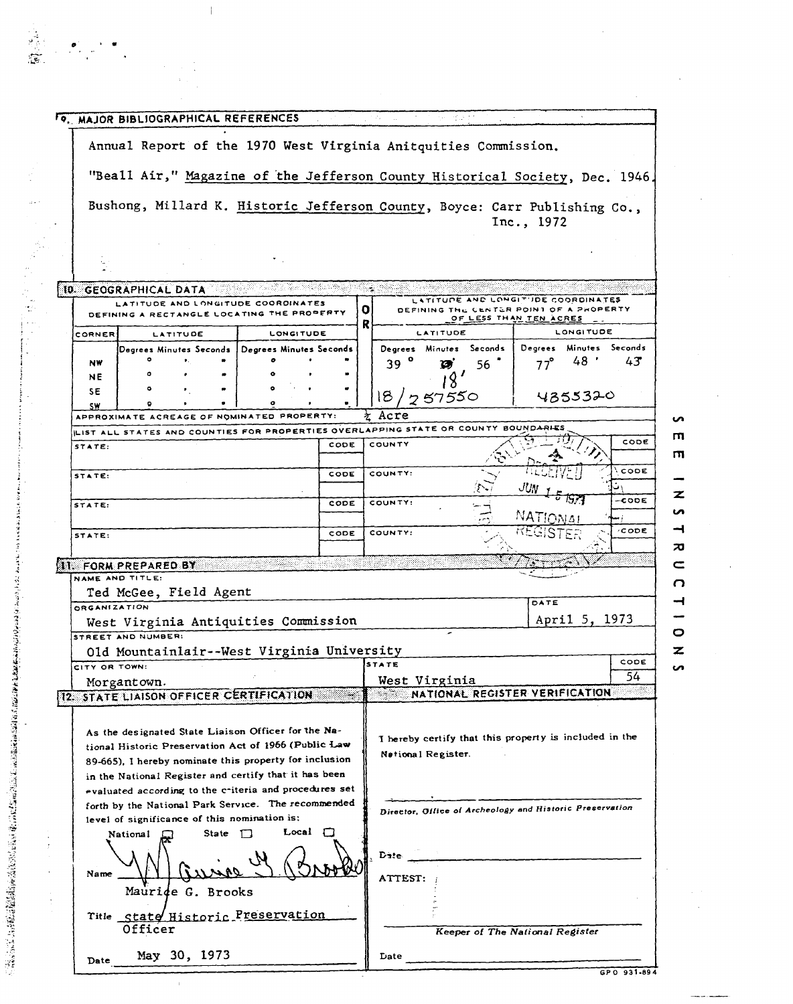|               | TO, MAJOR BIBLIOGRAPHICAL REFERENCES           |              |                                                                                                             |      | of all     | e dati                  |    |                                                                                                         |                                 |
|---------------|------------------------------------------------|--------------|-------------------------------------------------------------------------------------------------------------|------|------------|-------------------------|----|---------------------------------------------------------------------------------------------------------|---------------------------------|
|               |                                                |              | Annual Report of the 1970 West Virginia Anitquities Commission.                                             |      |            |                         |    |                                                                                                         |                                 |
|               |                                                |              | "Beall Air," Magazine of the Jefferson County Historical Society, Dec. 1946.                                |      |            |                         |    |                                                                                                         |                                 |
|               |                                                |              | Bushong, Millard K. Historic Jefferson County, Boyce: Carr Publishing Co.,                                  |      |            |                         |    |                                                                                                         |                                 |
|               |                                                |              |                                                                                                             |      |            |                         |    | Inc., 1972                                                                                              |                                 |
|               |                                                |              |                                                                                                             |      |            |                         |    |                                                                                                         |                                 |
|               | <b>10. GEOGRAPHICAL DATA</b>                   |              |                                                                                                             |      |            |                         |    |                                                                                                         |                                 |
|               |                                                |              | LATITUDE AND LONGITUDE COORDINATES<br>DEFINING A RECTANGLE LOCATING THE PROPERTY                            |      | 0<br>R     |                         |    | LATITUDE AND LONGITUDE COORDINATES<br>DEFINING THE CENTER POINT OF A PROPERTY<br>OF LESS THAN TEN ACRES |                                 |
| CORNER        | LATITUDE                                       |              | <b>LONGITUDE</b>                                                                                            |      |            | LATITUDE                |    | LONGITUDE                                                                                               |                                 |
| <b>NW</b>     |                                                |              | Degrees Minutes Seconds   Degrees Minutes Seconds                                                           |      | $39^\circ$ | Degrees Minutes Seconds |    | Degrees<br>48 <sup>°</sup>                                                                              | Minutes Seconds<br>$43^{\circ}$ |
| ΝE            |                                                |              |                                                                                                             |      |            | Ø                       | 56 | $77^{\circ}$                                                                                            |                                 |
| SΕ            |                                                |              |                                                                                                             |      | 18.        | 757550                  |    | 4355320                                                                                                 |                                 |
| SW            |                                                |              | APPROXIMATE ACREAGE OF NOMINATED PROPERTY:                                                                  |      | Acre<br>玄  |                         |    |                                                                                                         |                                 |
|               |                                                |              | LIST ALL STATES AND COUNTIES FOR PROPERTIES OVERLAPPING STATE OR COUNTY BOUNDARIES                          |      |            |                         |    |                                                                                                         |                                 |
| STATE:        |                                                |              |                                                                                                             | CODE | COUNTY     |                         |    |                                                                                                         | CODE                            |
| STATE:        |                                                |              |                                                                                                             | CODE | COUNTY:    |                         |    |                                                                                                         | CODE                            |
|               |                                                |              |                                                                                                             |      |            |                         |    |                                                                                                         |                                 |
| STATE:        |                                                |              |                                                                                                             | CODE | COUNTY:    |                         |    |                                                                                                         | -CODE                           |
|               |                                                |              |                                                                                                             |      |            |                         |    | NATIONA:                                                                                                |                                 |
|               |                                                |              |                                                                                                             |      |            |                         |    |                                                                                                         |                                 |
| STATE:        |                                                |              |                                                                                                             | CODE | COUNTY:    |                         |    |                                                                                                         | ⁄CODE                           |
|               |                                                |              |                                                                                                             |      |            |                         |    |                                                                                                         |                                 |
|               | <b>11. FORM PREPARED BY</b><br>NAME AND TITLE: |              |                                                                                                             |      |            |                         |    |                                                                                                         |                                 |
|               | Ted McGee, Field Agent                         |              |                                                                                                             |      |            |                         |    |                                                                                                         |                                 |
| ORGANIZATION  |                                                |              |                                                                                                             |      |            |                         |    |                                                                                                         |                                 |
|               | STREET AND NUMBER:                             |              | West Virginia Antiquities Commission                                                                        |      |            |                         |    | April 5, 1973                                                                                           |                                 |
|               |                                                |              | Old Mountainlair--West Virginia University                                                                  |      |            |                         |    |                                                                                                         |                                 |
| CITY OR TOWN: |                                                |              |                                                                                                             |      | STATE      |                         |    |                                                                                                         | CODE                            |
|               | Morgantown.                                    |              |                                                                                                             |      |            | West Virginia           |    |                                                                                                         |                                 |
|               |                                                |              | 12. STATE LIAISON OFFICER CERTIFICATION                                                                     |      |            |                         |    | NATIONAL REGISTER VERIFICATION                                                                          | 54                              |
|               |                                                |              | As the designated State Liaison Officer for the Na-<br>tional Historic Preservation Act of 1966 (Public Law |      |            |                         |    | I bereby certify that this property is included in the                                                  |                                 |
|               |                                                |              | 89-665), I hereby nominate this property for inclusion                                                      |      |            | Netional Register.      |    |                                                                                                         |                                 |
|               |                                                |              | in the National Register and certify that it has been                                                       |      |            |                         |    |                                                                                                         |                                 |
|               |                                                |              | evaluated according to the criteria and procedures set                                                      |      |            |                         |    |                                                                                                         |                                 |
|               | level of significance of this nomination is:   |              | forth by the National Park Service. The recommended                                                         |      |            |                         |    | Director, Office of Archeology and Historic Preservation                                                |                                 |
|               | National                                       | State $\Box$ | Local $\Box$                                                                                                |      |            |                         |    |                                                                                                         |                                 |
| Name          |                                                |              |                                                                                                             |      | Date.      |                         |    |                                                                                                         |                                 |
|               | Maurice $G.$ Brooks                            |              |                                                                                                             |      | ATTEST:    |                         |    |                                                                                                         |                                 |
|               |                                                |              |                                                                                                             |      |            |                         |    |                                                                                                         |                                 |
|               | Officer                                        |              | Title state Historic Preservation                                                                           |      |            |                         |    | Keeper of The National Register                                                                         |                                 |
| Date          |                                                | May 30, 1973 |                                                                                                             |      | Date       |                         |    |                                                                                                         |                                 |

 $\hat{\mathcal{L}}$ 

 $\bar{\beta}$ 

 $\hat{\boldsymbol{\gamma}}$ 

 $\frac{1}{\sqrt{2}}$ 

 $\bar{\mathcal{A}}$ 

 $\label{eq:2} \begin{array}{l} \left(\begin{array}{cc} \mathbf{0}^{\prime} & \mathbf{0} & \mathbf{0} \\ \mathbf{0} & \mathbf{0} & \mathbf{0} \\ \mathbf{0} & \mathbf{0} & \mathbf{0} \\ \mathbf{0} & \mathbf{0} & \mathbf{0} \end{array}\right) \end{array}$